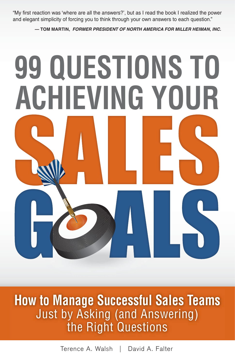"My first reaction was 'where are all the answers?', but as I read the book I realized the power and elegant simplicity of forcing you to think through your own answers to each question."

**— TOM MARTIN,** *FORMER PRESIDENT OF NORTH AMERICA FOR MILLER HEIMAN, INC.*

# **ACHIEVING YOUR 99 QUESTIONS TO**

99 QUESTIONS **TO ACHIEVING YOUR SALES GOALS How to Manage Successful Sales Teams** Just by Asking (and Answering) the Right Questions

> Download Bonus Material at **www.MBA4Sales.com/99** Terence A. Walsh | David A. Falter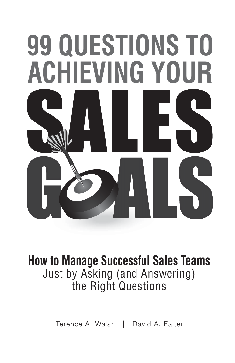# **ACHIEVING YOUR 99 QUESTIONS TO**

### **How to Manage Successful Sales Teams** Just by Asking (and Answering) the Right Questions

Terence A. Walsh | David A. Falter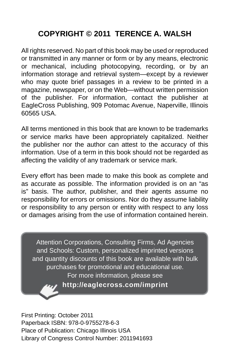### **COPYRIGHT © 2011 TERENCE A. WALSH**

All rights reserved. No part of this book may be used or reproduced or transmitted in any manner or form or by any means, electronic or mechanical, including photocopying, recording, or by an information storage and retrieval system—except by a reviewer who may quote brief passages in a review to be printed in a magazine, newspaper, or on the Web—without written permission of the publisher. For information, contact the publisher at EagleCross Publishing, 909 Potomac Avenue, Naperville, Illinois 60565 USA.

All terms mentioned in this book that are known to be trademarks or service marks have been appropriately capitalized. Neither the publisher nor the author can attest to the accuracy of this information. Use of a term in this book should not be regarded as affecting the validity of any trademark or service mark.

Every effort has been made to make this book as complete and as accurate as possible. The information provided is on an "as is" basis. The author, publisher, and their agents assume no responsibility for errors or omissions. Nor do they assume liability or responsibility to any person or entity with respect to any loss or damages arising from the use of information contained herein.

Attention Corporations, Consulting Firms, Ad Agencies and Schools: Custom, personalized imprinted versions and quantity discounts of this book are available with bulk purchases for promotional and educational use. For more information, please see **http://eaglecross.com/imprint**

First Printing: October 2011 Paperback ISBN: 978-0-9755278-6-3 Place of Publication: Chicago Illinois USA Library of Congress Control Number: 2011941693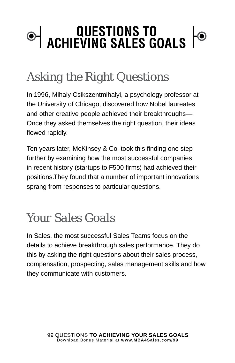### **QUESTIONS TO ACHIEVING SALES GOALS**

### *Asking the Right Questions*

In 1996, Mihaly Csikszentmihalyi, a psychology professor at the University of Chicago, discovered how Nobel laureates and other creative people achieved their breakthroughs— Once they asked themselves the right question, their ideas flowed rapidly.

Ten years later, McKinsey & Co. took this finding one step further by examining how the most successful companies in recent history (startups to F500 firms) had achieved their positions.They found that a number of important innovations sprang from responses to particular questions.

### *Your Sales Goals*

In Sales, the most successful Sales Teams focus on the details to achieve breakthrough sales performance. They do this by asking the right questions about their sales process, compensation, prospecting, sales management skills and how they communicate with customers.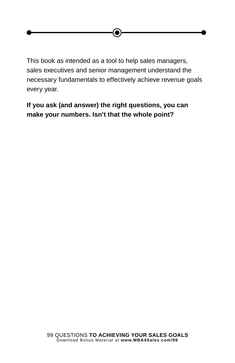This book as intended as a tool to help sales managers, sales executives and senior management understand the necessary fundamentals to effectively achieve revenue goals every year.

**If you ask (and answer) the right questions, you can make your numbers. Isn't that the whole point?**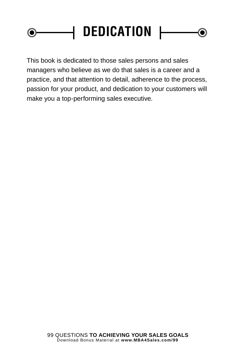### **| DEDICATION |** $\bullet$ O

This book is dedicated to those sales persons and sales managers who believe as we do that sales is a career and a practice, and that attention to detail, adherence to the process, passion for your product, and dedication to your customers will make you a top-performing sales executive.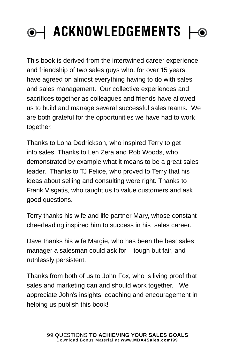# **| ACKNOWLEDGEMENTS |**

This book is derived from the intertwined career experience and friendship of two sales guys who, for over 15 years, have agreed on almost everything having to do with sales and sales management. Our collective experiences and sacrifices together as colleagues and friends have allowed us to build and manage several successful sales teams. We are both grateful for the opportunities we have had to work together.

Thanks to Lona Dedrickson, who inspired Terry to get into sales. Thanks to Len Zera and Rob Woods, who demonstrated by example what it means to be a great sales leader. Thanks to TJ Felice, who proved to Terry that his ideas about selling and consulting were right. Thanks to Frank Visgatis, who taught us to value customers and ask good questions.

Terry thanks his wife and life partner Mary, whose constant cheerleading inspired him to success in his sales career.

Dave thanks his wife Margie, who has been the best sales manager a salesman could ask for – tough but fair, and ruthlessly persistent.

Thanks from both of us to John Fox, who is living proof that sales and marketing can and should work together. We appreciate John's insights, coaching and encouragement in helping us publish this book!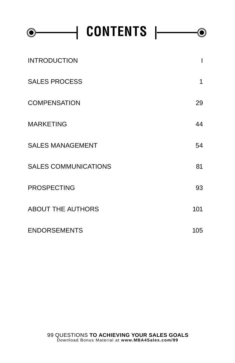| CONTENTS $\vdash$           |     |
|-----------------------------|-----|
| <b>INTRODUCTION</b>         |     |
| <b>SALES PROCESS</b>        | 1   |
| <b>COMPENSATION</b>         | 29  |
| <b>MARKETING</b>            | 44  |
| <b>SALES MANAGEMENT</b>     | 54  |
| <b>SALES COMMUNICATIONS</b> | 81  |
| <b>PROSPECTING</b>          | 93  |
| <b>ABOUT THE AUTHORS</b>    | 101 |
| <b>ENDORSEMENTS</b>         | 105 |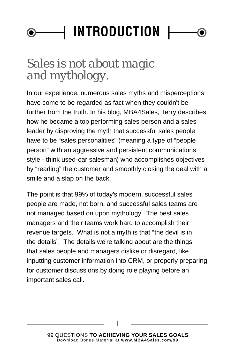### **| INTRODUCTION | 6**

### *Sales is not about magic and mythology.*

In our experience, numerous sales myths and misperceptions have come to be regarded as fact when they couldn't be further from the truth. In his blog, MBA4Sales, Terry describes how he became a top performing sales person and a sales leader by disproving the myth that successful sales people have to be "sales personalities" (meaning a type of "people person" with an aggressive and persistent communications style - think used-car salesman) who accomplishes objectives by "reading" the customer and smoothly closing the deal with a smile and a slap on the back.

The point is that 99% of today's modern, successful sales people are made, not born, and successful sales teams are not managed based on upon mythology. The best sales managers and their teams work hard to accomplish their revenue targets. What is not a myth is that "the devil is in the details". The details we're talking about are the things that sales people and managers dislike or disregard, like inputting customer information into CRM, or properly preparing for customer discussions by doing role playing before an important sales call.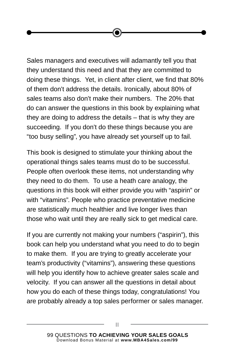Sales managers and executives will adamantly tell you that they understand this need and that they are committed to doing these things. Yet, in client after client, we find that 80% of them don't address the details. Ironically, about 80% of sales teams also don't make their numbers. The 20% that do can answer the questions in this book by explaining what they are doing to address the details – that is why they are succeeding. If you don't do these things because you are "too busy selling", you have already set yourself up to fail.

This book is designed to stimulate your thinking about the operational things sales teams must do to be successful. People often overlook these items, not understanding why they need to do them. To use a heath care analogy, the questions in this book will either provide you with "aspirin" or with "vitamins". People who practice preventative medicine are statistically much healthier and live longer lives than those who wait until they are really sick to get medical care.

If you are currently not making your numbers ("aspirin"), this book can help you understand what you need to do to begin to make them. If you are trying to greatly accelerate your team's productivity ("vitamins"), answering these questions will help you identify how to achieve greater sales scale and velocity. If you can answer all the questions in detail about how you do each of these things today, congratulations! You are probably already a top sales performer or sales manager.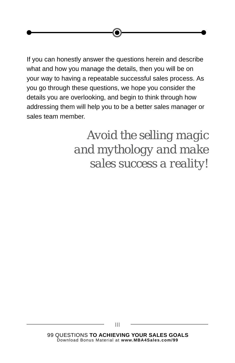If you can honestly answer the questions herein and describe what and how you manage the details, then you will be on your way to having a repeatable successful sales process. As you go through these questions, we hope you consider the details you are overlooking, and begin to think through how addressing them will help you to be a better sales manager or sales team member.

> *Avoid the selling magic and mythology and make sales success a reality!*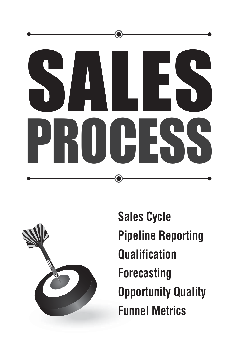



**Sales Cycle Pipeline Reporting Qualification Forecasting Opportunity Quality Funnel Metrics**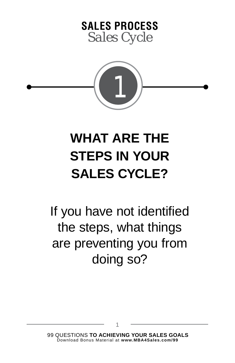### **SALES PROCESS** *Sales Cycle*



## **WHAT ARE THE STEPS IN YOUR SALES CYCLE?**

If you have not identified the steps, what things are preventing you from doing so?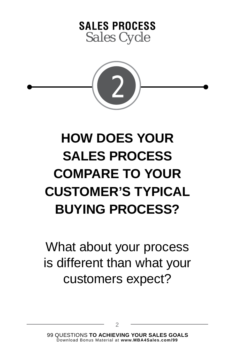



# **HOW DOES YOUR SALES PROCESS COMPARE TO YOUR CUSTOMER'S TYPICAL BUYING PROCESS?**

What about your process is different than what your customers expect?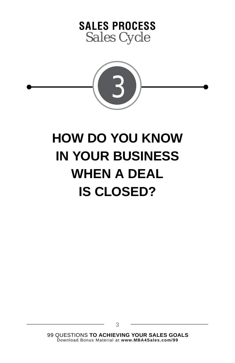



## **HOW DO YOU KNOW IN YOUR BUSINESS WHEN A DEAL IS CLOSED?**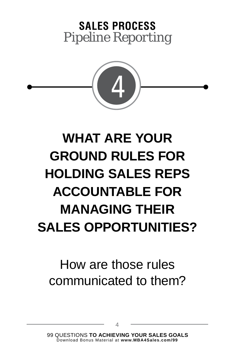

# **WHAT ARE YOUR GROUND RULES FOR HOLDING SALES REPS ACCOUNTABLE FOR MANAGING THEIR SALES OPPORTUNITIES?**

### How are those rules communicated to them?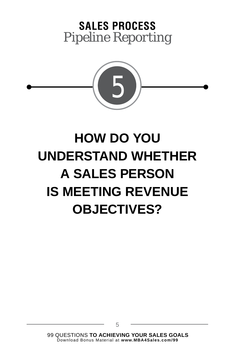

# **HOW DO YOU UNDERSTAND WHETHER A SALES PERSON IS MEETING REVENUE OBJECTIVES?**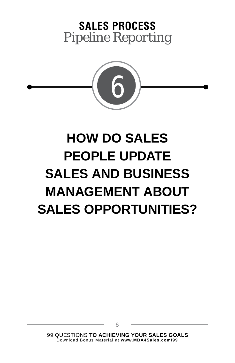

# **HOW DO SALES PEOPLE UPDATE SALES AND BUSINESS MANAGEMENT ABOUT SALES OPPORTUNITIES?**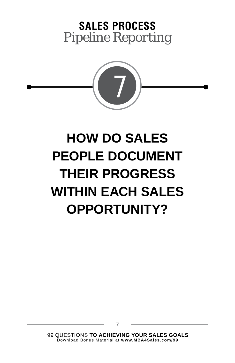

# **HOW DO SALES PEOPLE DOCUMENT THEIR PROGRESS WITHIN EACH SALES OPPORTUNITY?**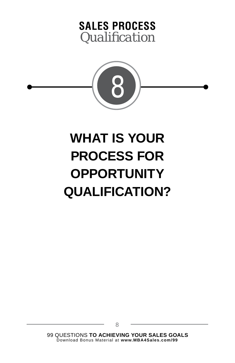



# **WHAT IS YOUR PROCESS FOR OPPORTUNITY QUALIFICATION?**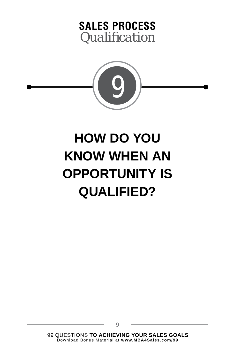



# **HOW DO YOU KNOW WHEN AN OPPORTUNITY IS QUALIFIED?**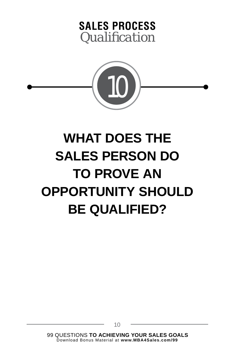



# **WHAT DOES THE SALES PERSON DO TO PROVE AN OPPORTUNITY SHOULD BE QUALIFIED?**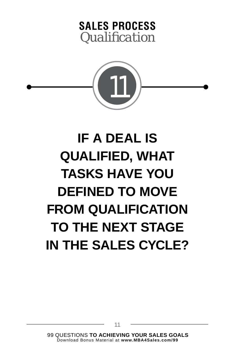### **SALES PROCESS** *Qualifi cation*



# **IF A DEAL IS QUALIFIED, WHAT TASKS HAVE YOU DEFINED TO MOVE FROM QUALIFICATION TO THE NEXT STAGE IN THE SALES CYCLE?**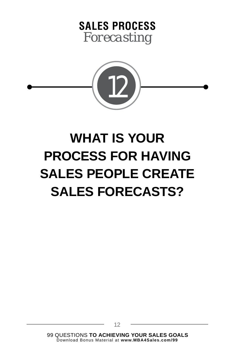



# **WHAT IS YOUR PROCESS FOR HAVING SALES PEOPLE CREATE SALES FORECASTS?**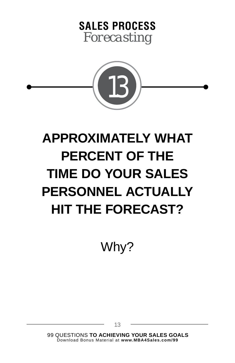



# **APPROXIMATELY WHAT PERCENT OF THE TIME DO YOUR SALES PERSONNEL ACTUALLY HIT THE FORECAST?**

Why?

99 QUESTIONS **TO ACHIEVING YOUR SALES GOALS** Download Bonus Material at **www.MBA4Sales.com/99**

13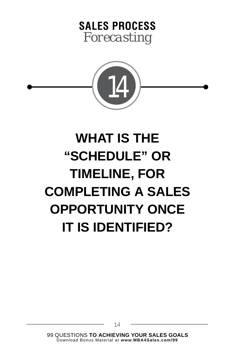### **SALES PROCESS** *Forecasting*



# **WHAT IS THE "SCHEDULE" OR TIMELINE, FOR COMPLETING A SALES OPPORTUNITY ONCE IT IS IDENTIFIED?**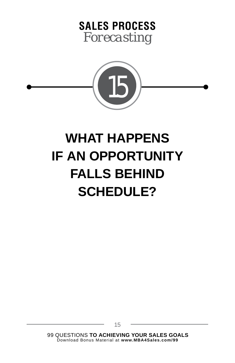



## **WHAT HAPPENS IF AN OPPORTUNITY FALLS BEHIND SCHEDULE?**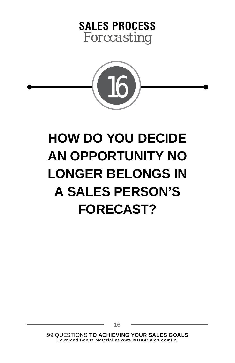



# **HOW DO YOU DECIDE AN OPPORTUNITY NO LONGER BELONGS IN A SALES PERSON'S FORECAST?**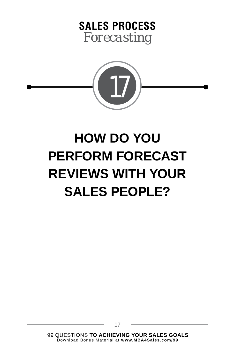### **SALES PROCESS** *Forecasting*



# **HOW DO YOU PERFORM FORECAST REVIEWS WITH YOUR SALES PEOPLE?**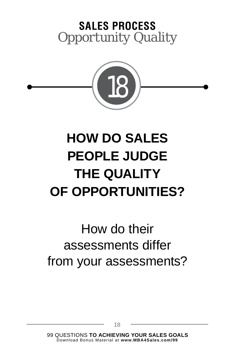### **SALES PROCESS** *Opportunity Quality*



# **HOW DO SALES PEOPLE JUDGE THE QUALITY OF OPPORTUNITIES?**

### How do their assessments differ from your assessments?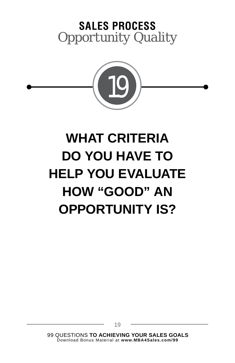

## **WHAT CRITERIA DO YOU HAVE TO HELP YOU EVALUATE HOW "GOOD" AN OPPORTUNITY IS?**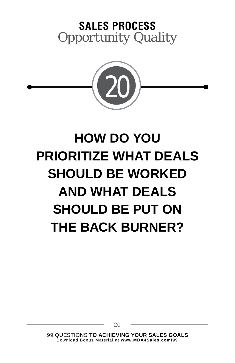

# **HOW DO YOU PRIORITIZE WHAT DEALS SHOULD BE WORKED AND WHAT DEALS SHOULD BE PUT ON THE BACK BURNER?**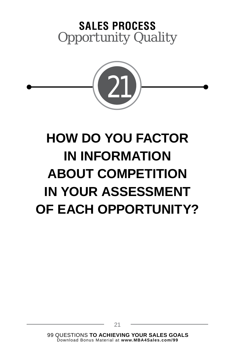

# **HOW DO YOU FACTOR IN INFORMATION ABOUT COMPETITION IN YOUR ASSESSMENT OF EACH OPPORTUNITY?**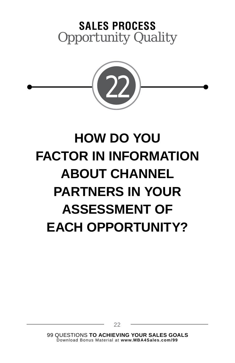

# **HOW DO YOU FACTOR IN INFORMATION ABOUT CHANNEL PARTNERS IN YOUR ASSESSMENT OF EACH OPPORTUNITY?**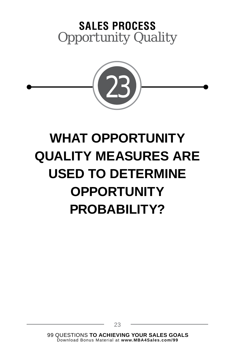

### **WHAT OPPORTUNITY QUALITY MEASURES ARE USED TO DETERMINE OPPORTUNITY PROBABILITY?**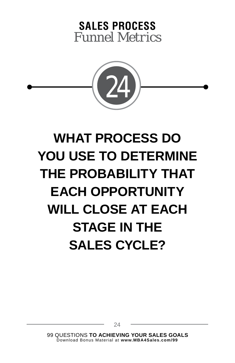

# **WHAT PROCESS DO YOU USE TO DETERMINE THE PROBABILITY THAT EACH OPPORTUNITY WILL CLOSE AT EACH STAGE IN THE SALES CYCLE?**

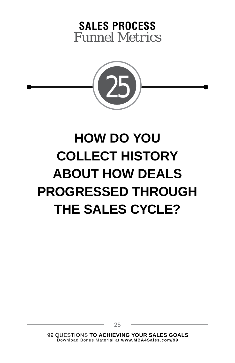

# **HOW DO YOU COLLECT HISTORY ABOUT HOW DEALS PROGRESSED THROUGH THE SALES CYCLE?**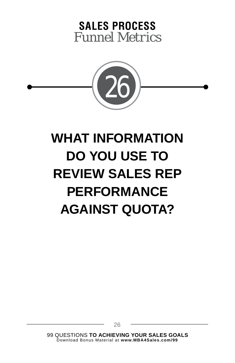

# **WHAT INFORMATION DO YOU USE TO REVIEW SALES REP PERFORMANCE AGAINST QUOTA?**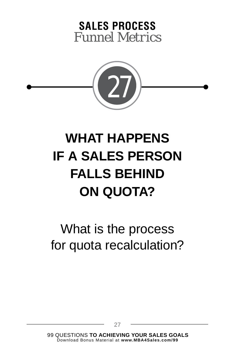

# **WHAT HAPPENS IF A SALES PERSON FALLS BEHIND ON QUOTA?**

#### What is the process for quota recalculation?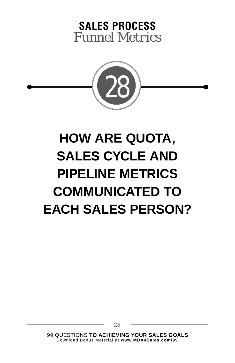

# **HOW ARE QUOTA, SALES CYCLE AND PIPELINE METRICS COMMUNICATED TO EACH SALES PERSON?**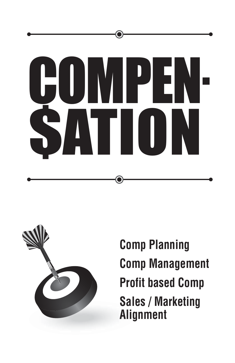



**Comp Planning Comp Management Profit based Comp Sales / Marketing Alignment**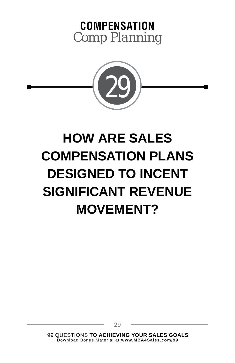



# **HOW ARE SALES COMPENSATION PLANS DESIGNED TO INCENT SIGNIFICANT REVENUE MOVEMENT?**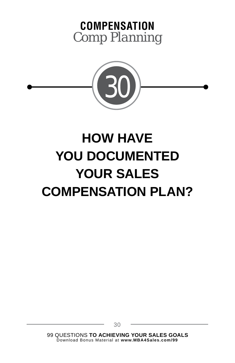



# **HOW HAVE YOU DOCUMENTED YOUR SALES COMPENSATION PLAN?**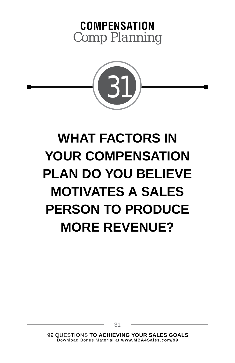



# **WHAT FACTORS IN YOUR COMPENSATION PLAN DO YOU BELIEVE MOTIVATES A SALES PERSON TO PRODUCE MORE REVENUE?**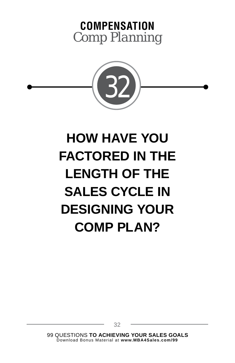



## **HOW HAVE YOU FACTORED IN THE LENGTH OF THE SALES CYCLE IN DESIGNING YOUR COMP PLAN?**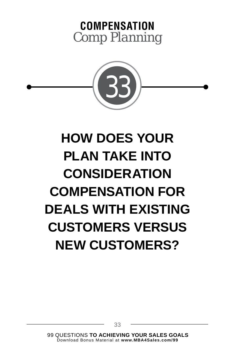



# **HOW DOES YOUR PLAN TAKE INTO CONSIDERATION COMPENSATION FOR DEALS WITH EXISTING CUSTOMERS VERSUS NEW CUSTOMERS?**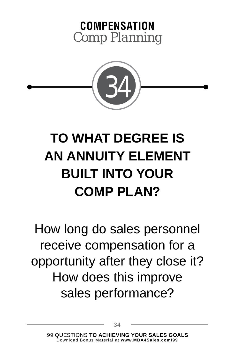



# **TO WHAT DEGREE IS AN ANNUITY ELEMENT BUILT INTO YOUR COMP PLAN?**

How long do sales personnel receive compensation for a opportunity after they close it? How does this improve sales performance?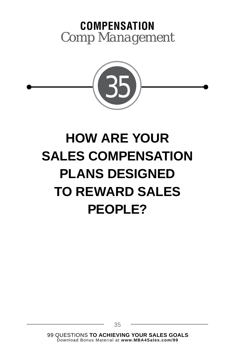#### **COMPENSATION** *Comp Management*



# **HOW ARE YOUR SALES COMPENSATION PLANS DESIGNED TO REWARD SALES PEOPLE?**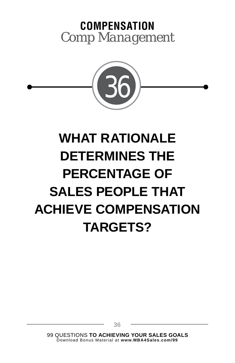#### **COMPENSATION** *Comp Management*



# **WHAT RATIONALE DETERMINES THE PERCENTAGE OF SALES PEOPLE THAT ACHIEVE COMPENSATION TARGETS?**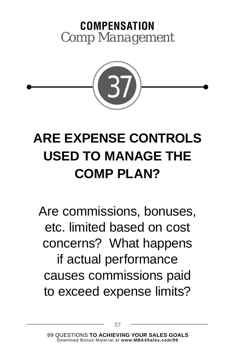#### **COMPENSATION** *Comp Management*



# **ARE EXPENSE CONTROLS USED TO MANAGE THE COMP PLAN?**

Are commissions, bonuses, etc. limited based on cost concerns? What happens if actual performance causes commissions paid to exceed expense limits?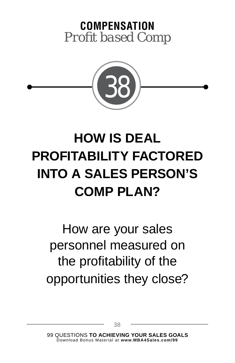



# **HOW IS DEAL PROFITABILITY FACTORED INTO A SALES PERSON'S COMP PLAN?**

How are your sales personnel measured on the profitability of the opportunities they close?

38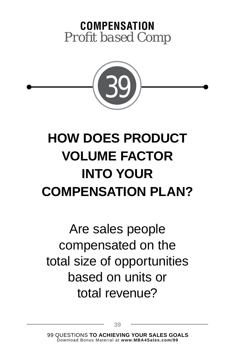



# **HOW DOES PRODUCT VOLUME FACTOR INTO YOUR COMPENSATION PLAN?**

Are sales people compensated on the total size of opportunities based on units or total revenue?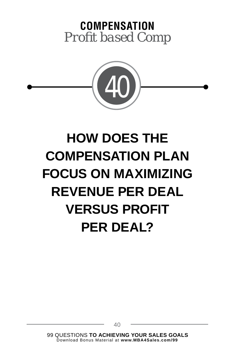



#### **HOW DOES THE COMPENSATION PLAN FOCUS ON MAXIMIZING REVENUE PER DEAL VERSUS PROFIT PER DEAL?**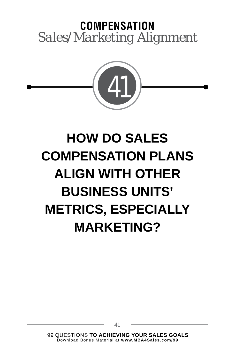#### **COMPENSATION** *Sales/Marketing Alignment*



# **HOW DO SALES COMPENSATION PLANS ALIGN WITH OTHER BUSINESS UNITS' METRICS, ESPECIALLY MARKETING?**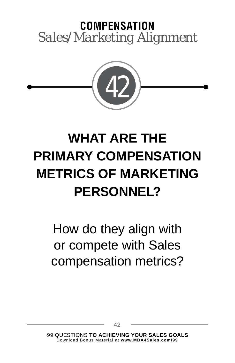#### **COMPENSATION** *Sales/Marketing Alignment*



# **WHAT ARE THE PRIMARY COMPENSATION METRICS OF MARKETING PERSONNEL?**

How do they align with or compete with Sales compensation metrics?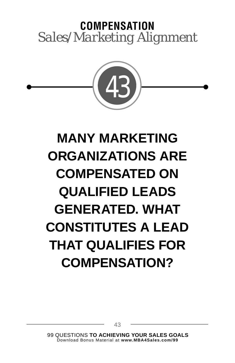#### **COMPENSATION** *Sales/Marketing Alignment*



# **MANY MARKETING ORGANIZATIONS ARE COMPENSATED ON QUALIFIED LEADS GENERATED. WHAT CONSTITUTES A LEAD THAT QUALIFIES FOR COMPENSATION?**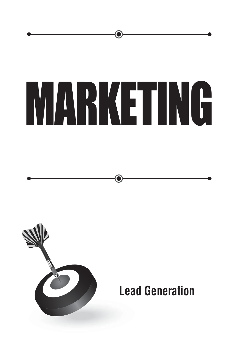



#### **Lead Generation**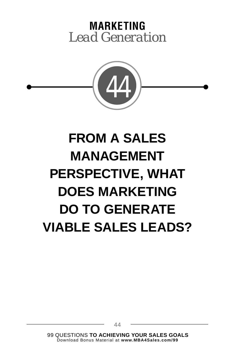

# **FROM A SALES MANAGEMENT PERSPECTIVE, WHAT DOES MARKETING DO TO GENERATE VIABLE SALES LEADS?**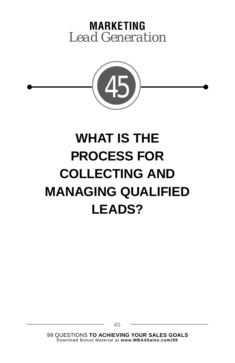

# **WHAT IS THE PROCESS FOR COLLECTING AND MANAGING QUALIFIED LEADS?**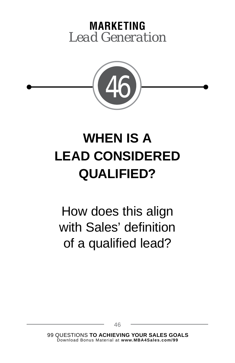

#### **WHEN IS A LEAD CONSIDERED QUALIFIED?**

How does this align with Sales' definition of a qualified lead?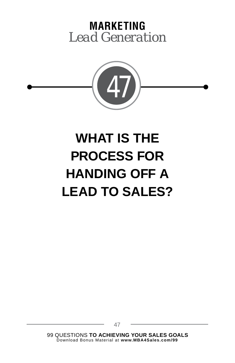

# **WHAT IS THE PROCESS FOR HANDING OFF A LEAD TO SALES?**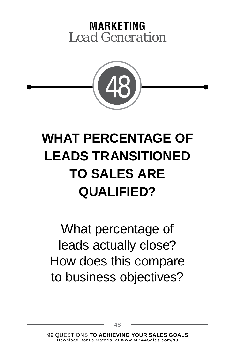

# **WHAT PERCENTAGE OF LEADS TRANSITIONED TO SALES ARE QUALIFIED?**

What percentage of leads actually close? How does this compare to business objectives?

48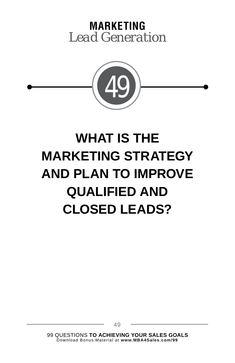

# **WHAT IS THE MARKETING STRATEGY AND PLAN TO IMPROVE QUALIFIED AND CLOSED LEADS?**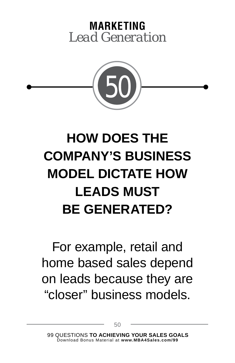

# **HOW DOES THE COMPANY'S BUSINESS MODEL DICTATE HOW LEADS MUST BE GENERATED?**

For example, retail and home based sales depend on leads because they are "closer" business models.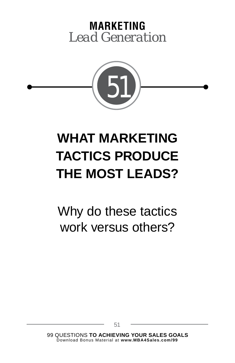

# **WHAT MARKETING TACTICS PRODUCE THE MOST LEADS?**

Why do these tactics work versus others?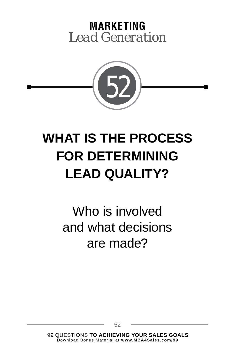

# **WHAT IS THE PROCESS FOR DETERMINING LEAD QUALITY?**

Who is involved and what decisions are made?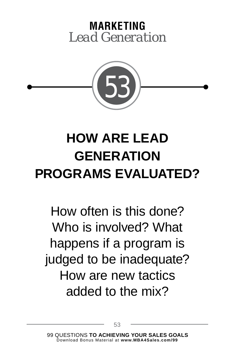

# **HOW ARE LEAD GENERATION PROGRAMS EVALUATED?**

How often is this done? Who is involved? What happens if a program is judged to be inadequate? How are new tactics added to the mix?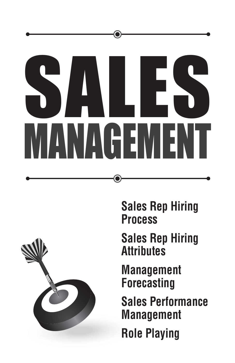



**Sales Rep Hiring Process**

**Sales Rep Hiring Attributes**

**Management Forecasting**

**Sales Performance Management**

**Role Playing**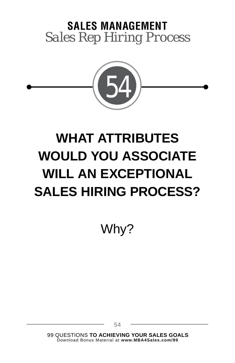

# **WHAT ATTRIBUTES WOULD YOU ASSOCIATE WILL AN EXCEPTIONAL SALES HIRING PROCESS?**

Why?

99 QUESTIONS **TO ACHIEVING YOUR SALES GOALS** Download Bonus Material at **www.MBA4Sales.com/99**

54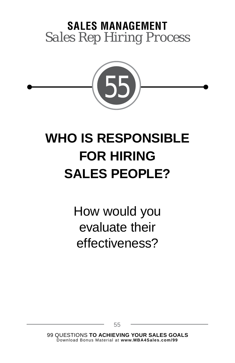

## **WHO IS RESPONSIBLE FOR HIRING SALES PEOPLE?**

How would you evaluate their effectiveness?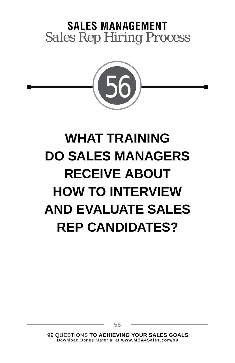

# **WHAT TRAINING DO SALES MANAGERS RECEIVE ABOUT HOW TO INTERVIEW AND EVALUATE SALES REP CANDIDATES?**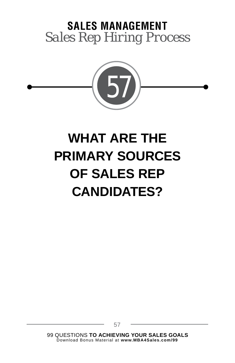

# **WHAT ARE THE PRIMARY SOURCES OF SALES REP CANDIDATES?**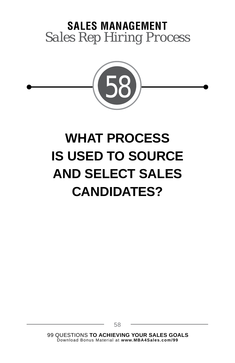

# **WHAT PROCESS IS USED TO SOURCE AND SELECT SALES CANDIDATES?**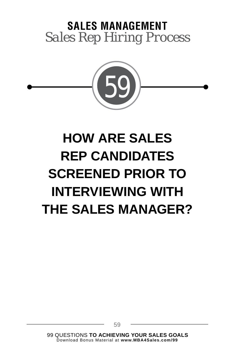

# **HOW ARE SALES REP CANDIDATES SCREENED PRIOR TO INTERVIEWING WITH THE SALES MANAGER?**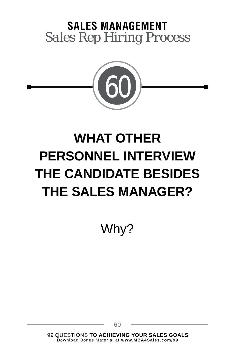

# **WHAT OTHER PERSONNEL INTERVIEW THE CANDIDATE BESIDES THE SALES MANAGER?**

Why?

99 QUESTIONS **TO ACHIEVING YOUR SALES GOALS** Download Bonus Material at **www.MBA4Sales.com/99**

60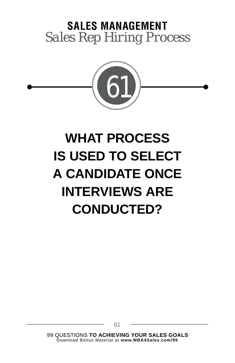

# **WHAT PROCESS IS USED TO SELECT A CANDIDATE ONCE INTERVIEWS ARE CONDUCTED?**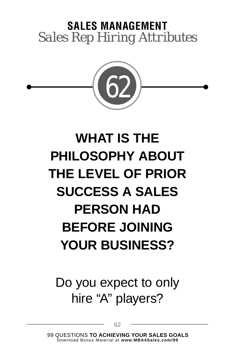

# **WHAT IS THE PHILOSOPHY ABOUT THE LEVEL OF PRIOR SUCCESS A SALES PERSON HAD BEFORE JOINING YOUR BUSINESS?**

Do you expect to only hire "A" players?

62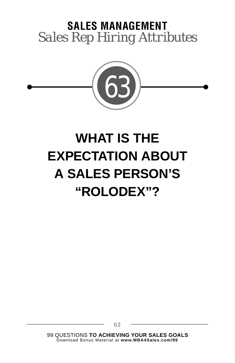

# **WHAT IS THE EXPECTATION ABOUT A SALES PERSON'S "ROLODEX"?**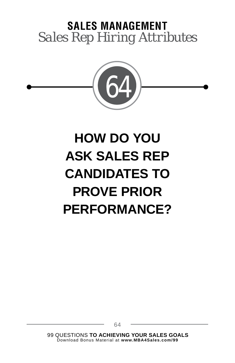

# **HOW DO YOU ASK SALES REP CANDIDATES TO PROVE PRIOR PERFORMANCE?**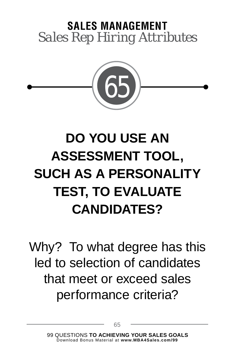

# **DO YOU USE AN ASSESSMENT TOOL, SUCH AS A PERSONALITY TEST, TO EVALUATE CANDIDATES?**

Why? To what degree has this led to selection of candidates that meet or exceed sales performance criteria?

65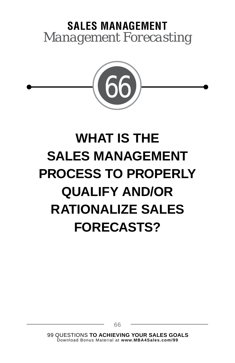

# **WHAT IS THE SALES MANAGEMENT PROCESS TO PROPERLY QUALIFY AND/OR RATIONALIZE SALES FORECASTS?**

66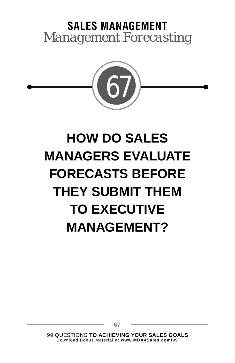

# **HOW DO SALES MANAGERS EVALUATE FORECASTS BEFORE THEY SUBMIT THEM TO EXECUTIVE MANAGEMENT?**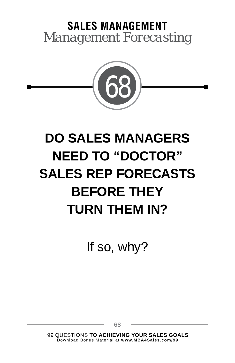

# **DO SALES MANAGERS NEED TO "DOCTOR" SALES REP FORECASTS BEFORE THEY TURN THEM IN?**

If so, why?

99 QUESTIONS **TO ACHIEVING YOUR SALES GOALS** Download Bonus Material at **www.MBA4Sales.com/99**

68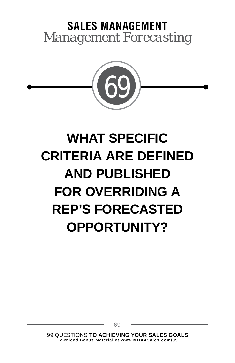

# **WHAT SPECIFIC CRITERIA ARE DEFINED AND PUBLISHED FOR OVERRIDING A REP'S FORECASTED OPPORTUNITY?**

69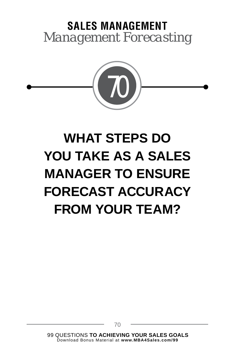

# **WHAT STEPS DO YOU TAKE AS A SALES MANAGER TO ENSURE FORECAST ACCURACY FROM YOUR TEAM?**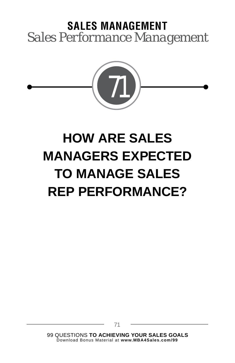

# **HOW ARE SALES MANAGERS EXPECTED TO MANAGE SALES REP PERFORMANCE?**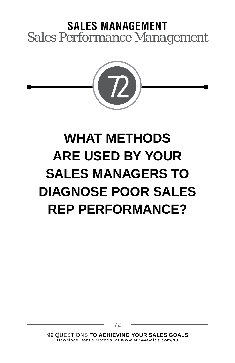

# **WHAT METHODS ARE USED BY YOUR SALES MANAGERS TO DIAGNOSE POOR SALES REP PERFORMANCE?**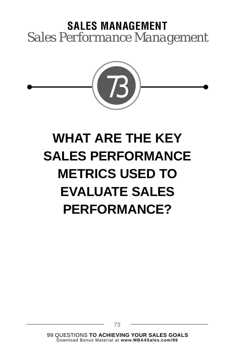

# **WHAT ARE THE KEY SALES PERFORMANCE METRICS USED TO EVALUATE SALES PERFORMANCE?**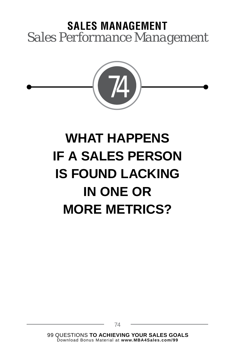

# **WHAT HAPPENS IF A SALES PERSON IS FOUND LACKING IN ONE OR MORE METRICS?**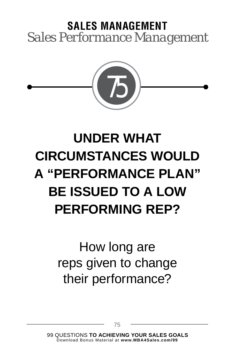

# **UNDER WHAT CIRCUMSTANCES WOULD A "PERFORMANCE PLAN" BE ISSUED TO A LOW PERFORMING REP?**

How long are reps given to change their performance?

75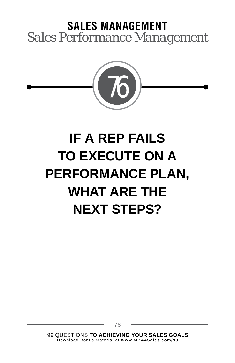

# **IF A REP FAILS TO EXECUTE ON A PERFORMANCE PLAN, WHAT ARE THE NEXT STEPS?**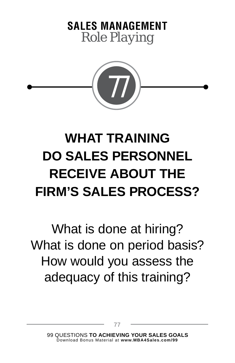



# **WHAT TRAINING DO SALES PERSONNEL RECEIVE ABOUT THE FIRM'S SALES PROCESS?**

What is done at hiring? What is done on period basis? How would you assess the adequacy of this training?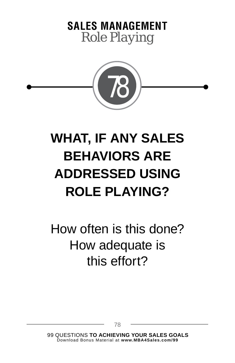



# **WHAT, IF ANY SALES BEHAVIORS ARE ADDRESSED USING ROLE PLAYING?**

How often is this done? How adequate is this effort?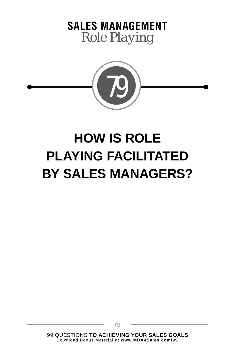



## **HOW IS ROLE PLAYING FACILITATED BY SALES MANAGERS?**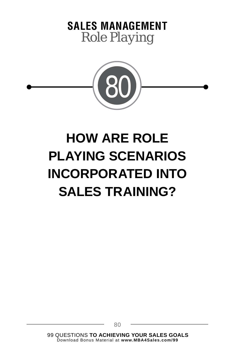



# **HOW ARE ROLE PLAYING SCENARIOS INCORPORATED INTO SALES TRAINING?**

80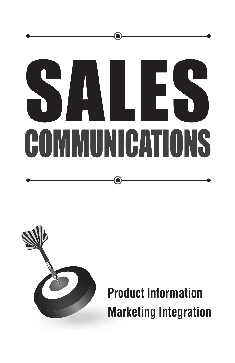# SALES COMMUNICATIONS



**Product Information Marketing Integration**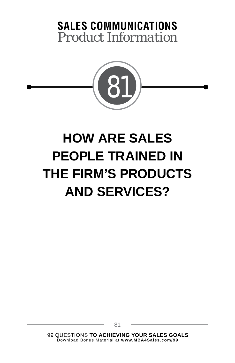

# **HOW ARE SALES PEOPLE TRAINED IN THE FIRM'S PRODUCTS AND SERVICES?**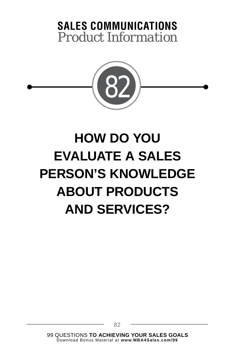

# **HOW DO YOU EVALUATE A SALES PERSON'S KNOWLEDGE ABOUT PRODUCTS AND SERVICES?**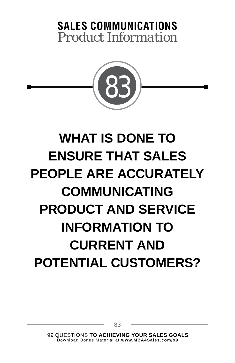

# **WHAT IS DONE TO ENSURE THAT SALES PEOPLE ARE ACCURATELY COMMUNICATING PRODUCT AND SERVICE INFORMATION TO CURRENT AND POTENTIAL CUSTOMERS?**

83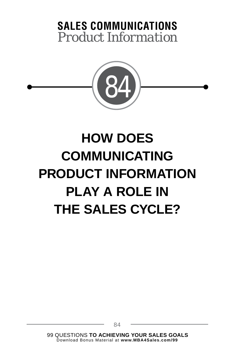

# **HOW DOES COMMUNICATING PRODUCT INFORMATION PLAY A ROLE IN THE SALES CYCLE?**

84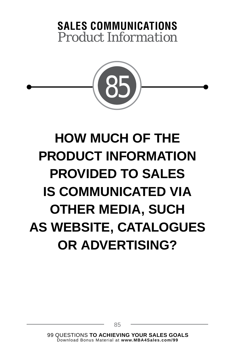

# **HOW MUCH OF THE PRODUCT INFORMATION PROVIDED TO SALES IS COMMUNICATED VIA OTHER MEDIA, SUCH AS WEBSITE, CATALOGUES OR ADVERTISING?**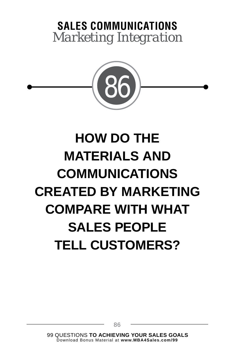

# **HOW DO THE MATERIALS AND COMMUNICATIONS CREATED BY MARKETING COMPARE WITH WHAT SALES PEOPLE TELL CUSTOMERS?**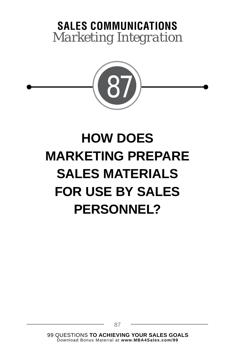

# **HOW DOES MARKETING PREPARE SALES MATERIALS FOR USE BY SALES PERSONNEL?**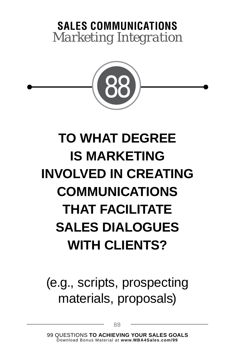

# **TO WHAT DEGREE IS MARKETING INVOLVED IN CREATING COMMUNICATIONS THAT FACILITATE SALES DIALOGUES WITH CLIENTS?**

### (e.g., scripts, prospecting materials, proposals)

88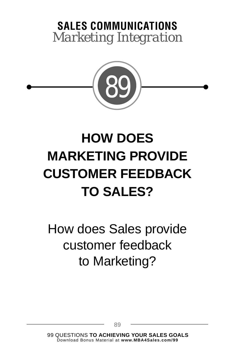

# **HOW DOES MARKETING PROVIDE CUSTOMER FEEDBACK TO SALES?**

How does Sales provide customer feedback to Marketing?

89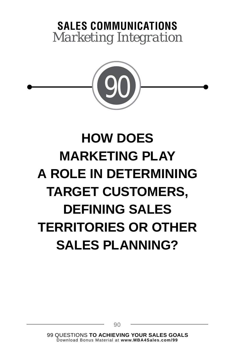

# **HOW DOES MARKETING PLAY A ROLE IN DETERMINING TARGET CUSTOMERS, DEFINING SALES TERRITORIES OR OTHER SALES PLANNING?**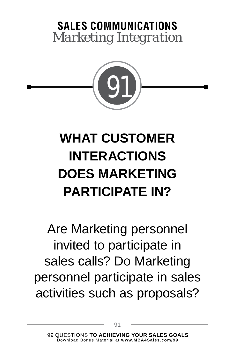

# **WHAT CUSTOMER INTERACTIONS DOES MARKETING PARTICIPATE IN?**

Are Marketing personnel invited to participate in sales calls? Do Marketing personnel participate in sales activities such as proposals?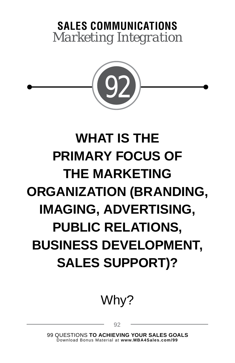

# **WHAT IS THE PRIMARY FOCUS OF THE MARKETING ORGANIZATION (BRANDING, IMAGING, ADVERTISING, PUBLIC RELATIONS, BUSINESS DEVELOPMENT, SALES SUPPORT)?**

### Why?

92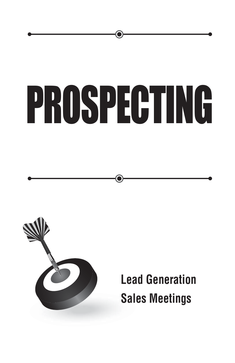# PROSPECTING



**Lead Generation Sales Meetings**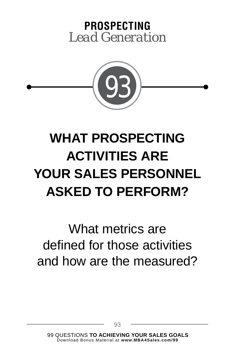### **PROSPECTING** *Lead Generation*



# **WHAT PROSPECTING ACTIVITIES ARE YOUR SALES PERSONNEL ASKED TO PERFORM?**

What metrics are defined for those activities and how are the measured?

93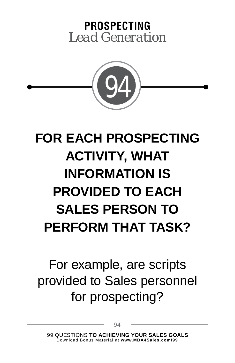### **PROSPECTING** *Lead Generation*



# **FOR EACH PROSPECTING ACTIVITY, WHAT INFORMATION IS PROVIDED TO EACH SALES PERSON TO PERFORM THAT TASK?**

For example, are scripts provided to Sales personnel for prospecting?

94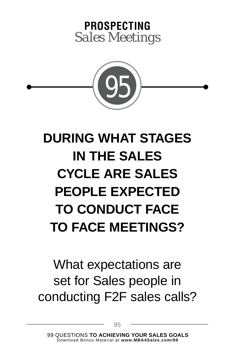



# **DURING WHAT STAGES IN THE SALES CYCLE ARE SALES PEOPLE EXPECTED TO CONDUCT FACE TO FACE MEETINGS?**

### What expectations are set for Sales people in conducting F2F sales calls?

95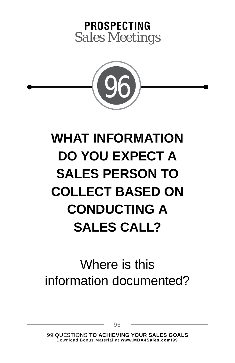



# **WHAT INFORMATION DO YOU EXPECT A SALES PERSON TO COLLECT BASED ON CONDUCTING A SALES CALL?**

### Where is this information documented?

96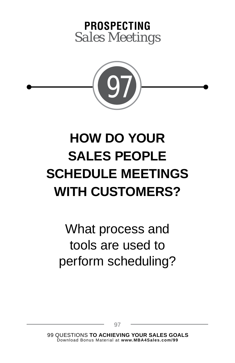



# **HOW DO YOUR SALES PEOPLE SCHEDULE MEETINGS WITH CUSTOMERS?**

What process and tools are used to perform scheduling?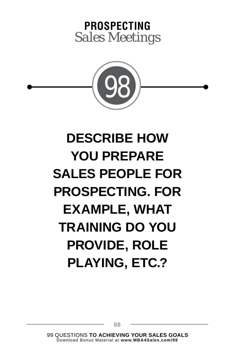



# **DESCRIBE HOW YOU PREPARE SALES PEOPLE FOR PROSPECTING. FOR EXAMPLE, WHAT TRAINING DO YOU PROVIDE, ROLE PLAYING, ETC.?**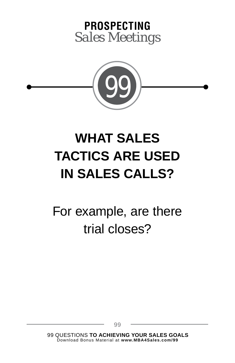



### **WHAT SALES TACTICS ARE USED IN SALES CALLS?**

For example, are there trial closes?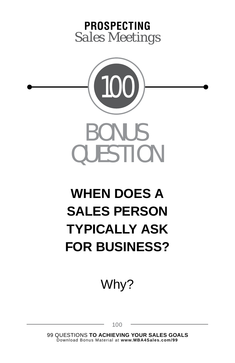



# **WHEN DOES A SALES PERSON TYPICALLY ASK FOR BUSINESS?**

Why?

100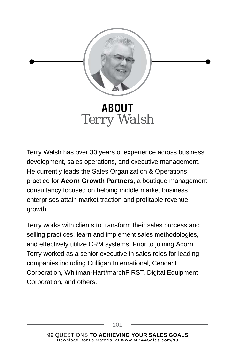

*Terry Walsh*

Terry Walsh has over 30 years of experience across business development, sales operations, and executive management. He currently leads the Sales Organization & Operations practice for **Acorn Growth Partners**, a boutique management consultancy focused on helping middle market business enterprises attain market traction and profitable revenue growth.

Terry works with clients to transform their sales process and selling practices, learn and implement sales methodologies, and effectively utilize CRM systems. Prior to joining Acorn, Terry worked as a senior executive in sales roles for leading companies including Culligan International, Cendant Corporation, Whitman-Hart/marchFIRST, Digital Equipment Corporation, and others.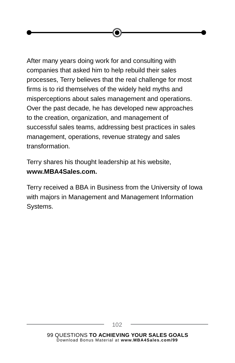After many years doing work for and consulting with companies that asked him to help rebuild their sales processes, Terry believes that the real challenge for most firms is to rid themselves of the widely held myths and misperceptions about sales management and operations. Over the past decade, he has developed new approaches to the creation, organization, and management of successful sales teams, addressing best practices in sales management, operations, revenue strategy and sales transformation.

Terry shares his thought leadership at his website, **www.MBA4Sales.com.**

Terry received a BBA in Business from the University of Iowa with majors in Management and Management Information Systems.

102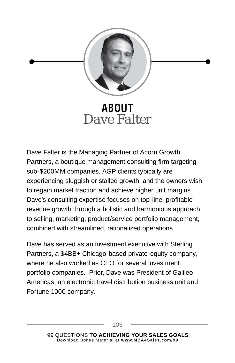

#### **ABOUT** *Dave Falter*

Dave Falter is the Managing Partner of Acorn Growth Partners, a boutique management consulting firm targeting sub-\$200MM companies. AGP clients typically are experiencing sluggish or stalled growth, and the owners wish to regain market traction and achieve higher unit margins. Dave's consulting expertise focuses on top-line, profitable revenue growth through a holistic and harmonious approach to selling, marketing, product/service portfolio management, combined with streamlined, rationalized operations.

Dave has served as an investment executive with Sterling Partners, a \$4BB+ Chicago-based private-equity company, where he also worked as CEO for several investment portfolio companies. Prior, Dave was President of Galileo Americas, an electronic travel distribution business unit and Fortune 1000 company.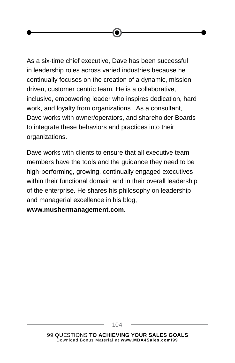As a six-time chief executive, Dave has been successful in leadership roles across varied industries because he continually focuses on the creation of a dynamic, missiondriven, customer centric team. He is a collaborative, inclusive, empowering leader who inspires dedication, hard work, and loyalty from organizations. As a consultant, Dave works with owner/operators, and shareholder Boards to integrate these behaviors and practices into their organizations.

Dave works with clients to ensure that all executive team members have the tools and the guidance they need to be high-performing, growing, continually engaged executives within their functional domain and in their overall leadership of the enterprise. He shares his philosophy on leadership and managerial excellence in his blog,

**www.mushermanagement.com.**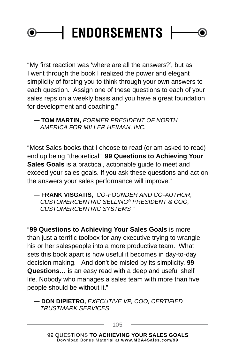#### **| ENDORSEMENTS |**0)

"My first reaction was 'where are all the answers?', but as I went through the book I realized the power and elegant simplicity of forcing you to think through your own answers to each question. Assign one of these questions to each of your sales reps on a weekly basis and you have a great foundation for development and coaching."

**— TOM MARTIN,** *FORMER PRESIDENT OF NORTH AMERICA FOR MILLER HEIMAN, INC.*

"Most Sales books that I choose to read (or am asked to read) end up being "theoretical". **99 Questions to Achieving Your Sales Goals** is a practical, actionable guide to meet and exceed your sales goals. If you ask these questions and act on the answers your sales performance will improve."

**— FRANK VISGATIS,** *CO-FOUNDER AND CO-AUTHOR, CUSTOMERCENTRIC SELLING® PRESIDENT & COO, CUSTOMERCENTRIC SYSTEMS* "

"**99 Questions to Achieving Your Sales Goals** is more than just a terrific toolbox for any executive trying to wrangle his or her salespeople into a more productive team. What sets this book apart is how useful it becomes in day-to-day decision making. And don't be misled by its simplicity. **99 Questions…** is an easy read with a deep and useful shelf life. Nobody who manages a sales team with more than five people should be without it."

**— DON DIPIETRO,** *EXECUTIVE VP, COO, CERTIFIED TRUSTMARK SERVICES"*

105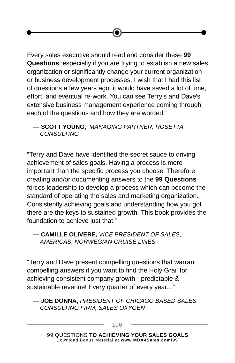Every sales executive should read and consider these **99 Questions**, especially if you are trying to establish a new sales organization or significantly change your current organization or business development processes. I wish that I had this list of questions a few years ago: it would have saved a lot of time, effort, and eventual re-work. You can see Terry's and Dave's extensive business management experience coming through each of the questions and how they are worded."

#### **— SCOTT YOUNG,** *MANAGING PARTNER, ROSETTA CONSULTING*

"Terry and Dave have identified the secret sauce to driving achievement of sales goals. Having a process is more important than the specific process you choose. Therefore creating and/or documenting answers to the **99 Questions** forces leadership to develop a process which can become the standard of operating the sales and marketing organization. Consistently achieving goals and understanding how you got there are the keys to sustained growth. This book provides the foundation to achieve just that."

**— CAMILLE OLIVERE,** *VICE PRESIDENT OF SALES, AMERICAS, NORWEGIAN CRUISE LINES*

"Terry and Dave present compelling questions that warrant compelling answers if you want to find the Holy Grail for achieving consistent company growth - predictable & sustainable revenue! Every quarter of every year..."

**— JOE DONNA,** *PRESIDENT OF CHICAGO BASED SALES CONSULTING FIRM, SALES OXYGEN*

106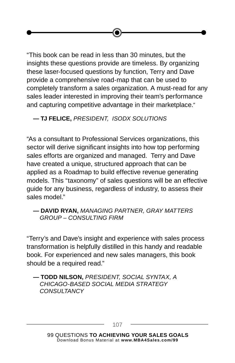"This book can be read in less than 30 minutes, but the insights these questions provide are timeless. By organizing these laser-focused questions by function, Terry and Dave provide a comprehensive road-map that can be used to completely transform a sales organization. A must-read for any sales leader interested in improving their team's performance and capturing competitive advantage in their marketplace.*"*

**— TJ FELICE,** *PRESIDENT, ISODX SOLUTIONS*

"As a consultant to Professional Services organizations, this sector will derive significant insights into how top performing sales efforts are organized and managed. Terry and Dave have created a unique, structured approach that can be applied as a Roadmap to build effective revenue generating models. This "taxonomy" of sales questions will be an effective guide for any business, regardless of industry, to assess their sales model."

#### **— DAVID RYAN,** *MANAGING PARTNER, GRAY MATTERS GROUP – CONSULTING FIRM*

"Terry's and Dave's insight and experience with sales process transformation is helpfully distilled in this handy and readable book. For experienced and new sales managers, this book should be a required read."

#### **— TODD NILSON,** *PRESIDENT, SOCIAL SYNTAX, A CHICAGO-BASED SOCIAL MEDIA STRATEGY CONSULTANCY*

107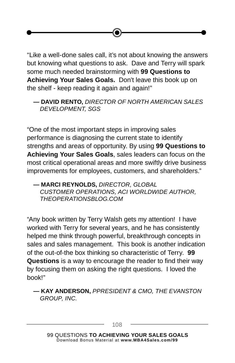"Like a well-done sales call, it's not about knowing the answers but knowing what questions to ask. Dave and Terry will spark some much needed brainstorming with **99 Questions to Achieving Your Sales Goals.** Don't leave this book up on the shelf - keep reading it again and again!"

#### **— DAVID RENTO,** *DIRECTOR OF NORTH AMERICAN SALES DEVELOPMENT, SGS*

"One of the most important steps in improving sales performance is diagnosing the current state to identify strengths and areas of opportunity. By using **99 Questions to Achieving Your Sales Goals**, sales leaders can focus on the most critical operational areas and more swiftly drive business improvements for employees, customers, and shareholders."

**— MARCI REYNOLDS,** *DIRECTOR, GLOBAL CUSTOMER OPERATIONS, ACI WORLDWIDE AUTHOR, THEOPERATIONSBLOG.COM*

"Any book written by Terry Walsh gets my attention! I have worked with Terry for several years, and he has consistently helped me think through powerful, breakthrough concepts in sales and sales management. This book is another indication of the out-of-the box thinking so characteristic of Terry. **99 Questions** is a way to encourage the reader to find their way by focusing them on asking the right questions. I loved the book!"

**— KAY ANDERSON,** *PPRESIDENT & CMO, THE EVANSTON GROUP, INC.*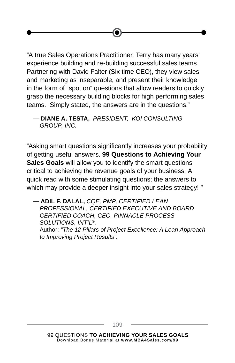"A true Sales Operations Practitioner, Terry has many years' experience building and re-building successful sales teams. Partnering with David Falter (Six time CEO), they view sales and marketing as inseparable, and present their knowledge in the form of "spot on" questions that allow readers to quickly grasp the necessary building blocks for high performing sales teams. Simply stated, the answers are in the questions."

**— DIANE A. TESTA,** *PRESIDENT, KOI CONSULTING GROUP, INC.*

"Asking smart questions significantly increases your probability of getting useful answers. **99 Questions to Achieving Your Sales Goals** will allow you to identify the smart questions critical to achieving the revenue goals of your business. A quick read with some stimulating questions; the answers to which may provide a deeper insight into your sales strategy! "

**— ADIL F. DALAL,** *CQE, PMP, CERTIFIED LEAN PROFESSIONAL, CERTIFIED EXECUTIVE AND BOARD CERTIFIED COACH, CEO, PINNACLE PROCESS SOLUTIONS, INT'L®.* Author: *"The 12 Pillars of Project Excellence: A Lean Approach to Improving Project Results".*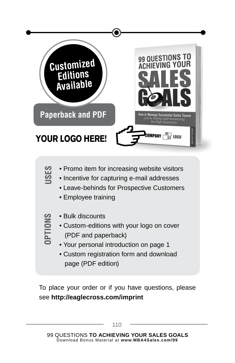

- Promo item for increasing website visitors
- Incentive for capturing e-mail addresses
	- Leave-behinds for Prospective Customers
	- Employee training
- **OPTIONS**

**USES**

- Bulk discounts
- Custom-editions with your logo on cover (PDF and paperback)
- Your personal introduction on page 1
- Custom registration form and download page (PDF edition)

To place your order or if you have questions, please see **http://eaglecross.com/imprint**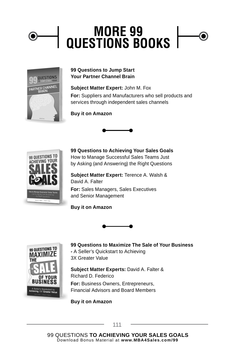### **MORE 99 QUESTIONS BOOKS**



#### **99 Questions to Jump Start Your Partner Channel Brain**

**Subject Matter Expert:** John M. Fox **For:** Suppliers and Manufacturers who sell products and services through independent sales channels

#### **Buy it on Amazon**





**99 Questions to Achieving Your Sales Goals** How to Manage Successful Sales Teams Just by Asking (and Answering) the Right Questions

**Subject Matter Expert:** Terence A. Walsh & David A. Falter **For:** Sales Managers, Sales Executives and Senior Management

**Buy it on Amazon**



99 QUESTIONS TO MAXIMIZE THE ISII A Seller's Quickstart to<br>hieving 3X **Greater Val** 

**99 Questions to Maximize The Sale of Your Business** 

**-** A Seller's Quickstart to Achieving

3X Greater Value

**Subject Matter Experts:** David A. Falter & Richard D. Federico

**For:** Business Owners, Entrepreneurs, Financial Advisors and Board Members

**Buy it on Amazon**